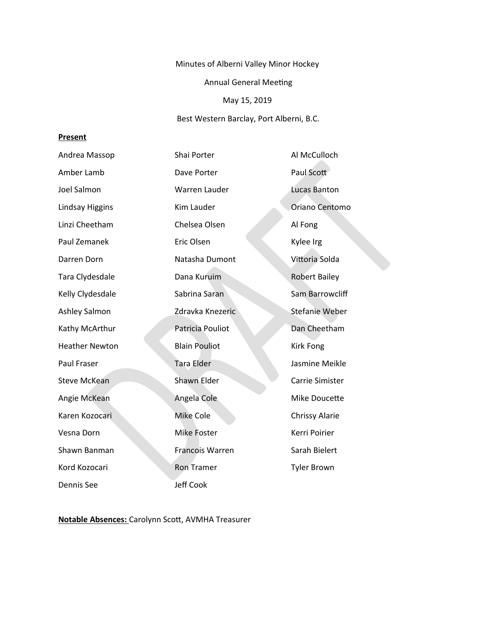Minutes of Alberni Valley Minor Hockey

Annual General Meeting

# May 15, 2019

Best Western Barclay, Port Alberni, B.C.

# **Present**

| Andrea Massop          | Shai Porter          | Al McCulloch          |
|------------------------|----------------------|-----------------------|
| Amber Lamb             | Dave Porter          | Paul Scott            |
| Joel Salmon            | Warren Lauder        | Lucas Banton          |
| <b>Lindsay Higgins</b> | Kim Lauder           | Oriano Centomo        |
| Linzi Cheetham         | Chelsea Olsen        | Al Fong               |
| Paul Zemanek           | Eric Olsen           | Kylee Irg             |
| Darren Dorn            | Natasha Dumont       | Vittoria Solda        |
| Tara Clydesdale        | Dana Kuruim          | <b>Robert Bailey</b>  |
| Kelly Clydesdale       | Sabrina Saran        | Sam Barrowcliff       |
| Ashley Salmon          | Zdravka Knezeric     | <b>Stefanie Weber</b> |
| Kathy McArthur         | Patricia Pouliot     | Dan Cheetham          |
| <b>Heather Newton</b>  | <b>Blain Pouliot</b> | <b>Kirk Fong</b>      |
| Paul Fraser            | <b>Tara Elder</b>    | Jasmine Meikle        |
| <b>Steve McKean</b>    | <b>Shawn Elder</b>   | Carrie Simister       |
| Angie McKean           | Angela Cole          | Mike Doucette         |
| Karen Kozocari         | Mike Cole            | <b>Chrissy Alarie</b> |
| Vesna Dorn             | Mike Foster          | Kerri Poirier         |
| Shawn Banman           | Francois Warren      | Sarah Bielert         |
| Kord Kozocari          | <b>Ron Tramer</b>    | <b>Tyler Brown</b>    |
| Dennis See             | <b>Jeff Cook</b>     |                       |

**Notable Absences:** Carolynn Scott, AVMHA Treasurer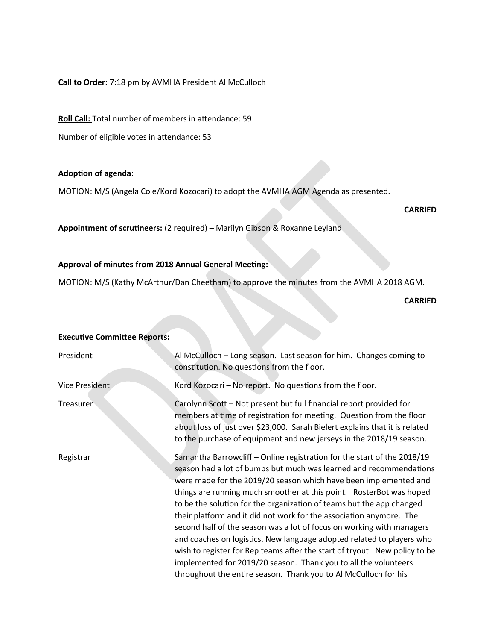# **Call to Order:** 7:18 pm by AVMHA President Al McCulloch

**Roll Call:** Total number of members in attendance: 59

Number of eligible votes in attendance: 53

### **Adoption of agenda**:

MOTION: M/S (Angela Cole/Kord Kozocari) to adopt the AVMHA AGM Agenda as presented.

**CARRIED** 

**Appointment of scrutineers:** (2 required) – Marilyn Gibson & Roxanne Leyland

### **Approval of minutes from 2018 Annual General Meeting:**

MOTION: M/S (Kathy McArthur/Dan Cheetham) to approve the minutes from the AVMHA 2018 AGM.

**CARRIED**

# **Executive Committee Reports:** President Al McCulloch – Long season. Last season for him. Changes coming to constitution. No questions from the floor. Vice President Kord Kozocari – No report. No questions from the floor. Treasurer Carolynn Scott – Not present but full financial report provided for members at time of registration for meeting. Question from the floor about loss of just over \$23,000. Sarah Bielert explains that it is related to the purchase of equipment and new jerseys in the 2018/19 season. Registrar Samantha Barrowcliff – Online registration for the start of the 2018/19 season had a lot of bumps but much was learned and recommendations were made for the 2019/20 season which have been implemented and things are running much smoother at this point. RosterBot was hoped to be the solution for the organization of teams but the app changed their platform and it did not work for the association anymore. The second half of the season was a lot of focus on working with managers and coaches on logistics. New language adopted related to players who wish to register for Rep teams after the start of tryout. New policy to be implemented for 2019/20 season. Thank you to all the volunteers throughout the entire season. Thank you to Al McCulloch for his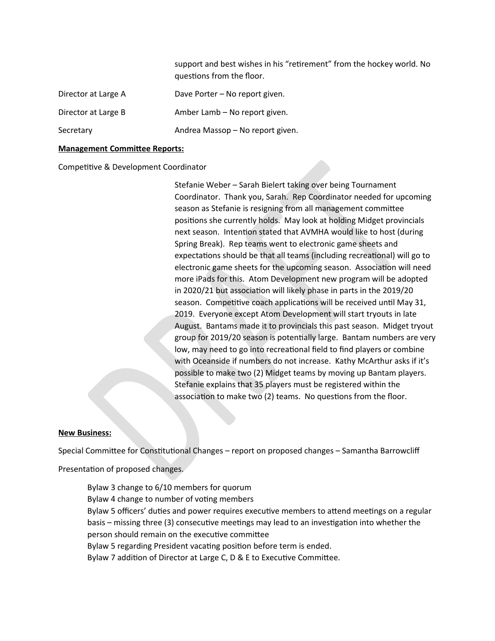support and best wishes in his "retirement" from the hockey world. No questions from the floor.

| Director at Large A | Dave Porter - No report given.   |
|---------------------|----------------------------------|
| Director at Large B | Amber Lamb – No report given.    |
| Secretary           | Andrea Massop - No report given. |

#### **Management Committee Reports:**

Competitive & Development Coordinator

Stefanie Weber – Sarah Bielert taking over being Tournament Coordinator. Thank you, Sarah. Rep Coordinator needed for upcoming season as Stefanie is resigning from all management committee positions she currently holds. May look at holding Midget provincials next season. Intention stated that AVMHA would like to host (during Spring Break). Rep teams went to electronic game sheets and expectations should be that all teams (including recreational) will go to electronic game sheets for the upcoming season. Association will need more iPads for this. Atom Development new program will be adopted in 2020/21 but association will likely phase in parts in the 2019/20 season. Competitive coach applications will be received until May 31, 2019. Everyone except Atom Development will start tryouts in late August. Bantams made it to provincials this past season. Midget tryout group for 2019/20 season is potentially large. Bantam numbers are very low, may need to go into recreational field to find players or combine with Oceanside if numbers do not increase. Kathy McArthur asks if it's possible to make two (2) Midget teams by moving up Bantam players. Stefanie explains that 35 players must be registered within the association to make two (2) teams. No questions from the floor.

#### **New Business:**

Special Committee for Constitutional Changes – report on proposed changes – Samantha Barrowcliff

Presentation of proposed changes.

Bylaw 3 change to 6/10 members for quorum Bylaw 4 change to number of voting members Bylaw 5 officers' duties and power requires executive members to attend meetings on a regular basis – missing three (3) consecutive meetings may lead to an investigation into whether the person should remain on the executive committee Bylaw 5 regarding President vacating position before term is ended. Bylaw 7 addition of Director at Large C, D & E to Executive Committee.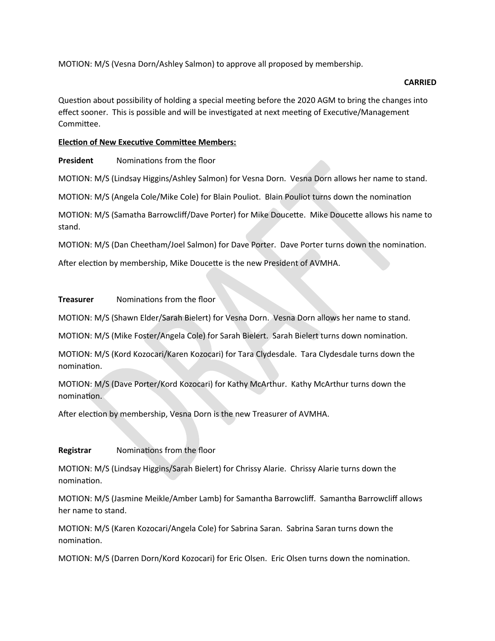MOTION: M/S (Vesna Dorn/Ashley Salmon) to approve all proposed by membership.

# **CARRIED**

Question about possibility of holding a special meeting before the 2020 AGM to bring the changes into effect sooner. This is possible and will be investigated at next meeting of Executive/Management Committee.

# **Election of New Executive Committee Members:**

**President Nominations from the floor** 

MOTION: M/S (Lindsay Higgins/Ashley Salmon) for Vesna Dorn. Vesna Dorn allows her name to stand.

MOTION: M/S (Angela Cole/Mike Cole) for Blain Pouliot. Blain Pouliot turns down the nomination

MOTION: M/S (Samatha Barrowcliff/Dave Porter) for Mike Doucette. Mike Doucette allows his name to stand.

MOTION: M/S (Dan Cheetham/Joel Salmon) for Dave Porter. Dave Porter turns down the nomination.

After election by membership, Mike Doucette is the new President of AVMHA.

# **Treasurer** Nominations from the floor

MOTION: M/S (Shawn Elder/Sarah Bielert) for Vesna Dorn. Vesna Dorn allows her name to stand.

MOTION: M/S (Mike Foster/Angela Cole) for Sarah Bielert. Sarah Bielert turns down nomination.

MOTION: M/S (Kord Kozocari/Karen Kozocari) for Tara Clydesdale. Tara Clydesdale turns down the nomination.

MOTION: M/S (Dave Porter/Kord Kozocari) for Kathy McArthur. Kathy McArthur turns down the nomination.

After election by membership, Vesna Dorn is the new Treasurer of AVMHA.

# **Registrar** Nominations from the floor

MOTION: M/S (Lindsay Higgins/Sarah Bielert) for Chrissy Alarie. Chrissy Alarie turns down the nomination.

MOTION: M/S (Jasmine Meikle/Amber Lamb) for Samantha Barrowcliff. Samantha Barrowcliff allows her name to stand.

MOTION: M/S (Karen Kozocari/Angela Cole) for Sabrina Saran. Sabrina Saran turns down the nomination.

MOTION: M/S (Darren Dorn/Kord Kozocari) for Eric Olsen. Eric Olsen turns down the nomination.